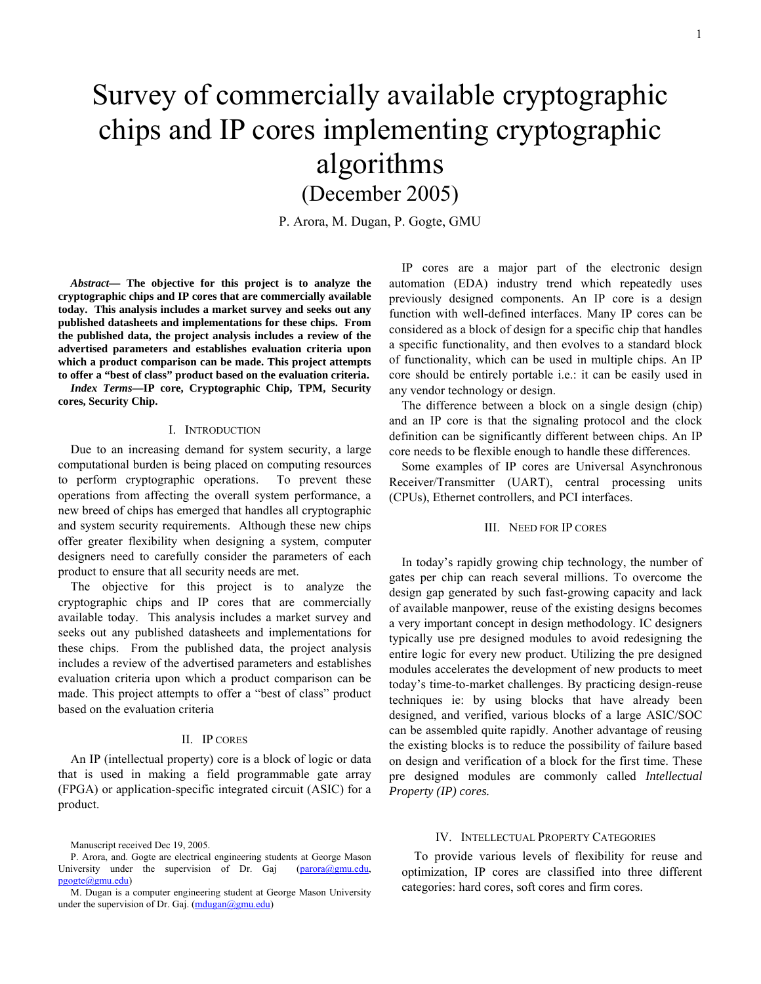(December 2005)

P. Arora, M. Dugan, P. Gogte, GMU

*Abstract***— The objective for this project is to analyze the cryptographic chips and IP cores that are commercially available today. This analysis includes a market survey and seeks out any published datasheets and implementations for these chips. From the published data, the project analysis includes a review of the advertised parameters and establishes evaluation criteria upon which a product comparison can be made. This project attempts to offer a "best of class" product based on the evaluation criteria.** 

*Index Terms***—IP core, Cryptographic Chip, TPM, Security cores, Security Chip.** 

#### I. INTRODUCTION

Due to an increasing demand for system security, a large computational burden is being placed on computing resources to perform cryptographic operations. To prevent these operations from affecting the overall system performance, a new breed of chips has emerged that handles all cryptographic and system security requirements. Although these new chips offer greater flexibility when designing a system, computer designers need to carefully consider the parameters of each product to ensure that all security needs are met.

The objective for this project is to analyze the cryptographic chips and IP cores that are commercially available today. This analysis includes a market survey and seeks out any published datasheets and implementations for these chips. From the published data, the project analysis includes a review of the advertised parameters and establishes evaluation criteria upon which a product comparison can be made. This project attempts to offer a "best of class" product based on the evaluation criteria

# II. IP CORES

An IP (intellectual property) core is a block of logic or data that is used in making a field programmable gate array (FPGA) or application-specific integrated circuit (ASIC) for a product.

IP cores are a major part of the electronic design automation (EDA) industry trend which repeatedly uses previously designed components. An IP core is a design function with well-defined interfaces. Many IP cores can be considered as a block of design for a specific chip that handles a specific functionality, and then evolves to a standard block of functionality, which can be used in multiple chips. An IP core should be entirely portable i.e.: it can be easily used in any vendor technology or design.

The difference between a block on a single design (chip) and an IP core is that the signaling protocol and the clock definition can be significantly different between chips. An IP core needs to be flexible enough to handle these differences.

Some examples of IP cores are Universal Asynchronous Receiver/Transmitter (UART), central processing units (CPUs), Ethernet controllers, and PCI interfaces.

#### III. NEED FOR IP CORES

In today's rapidly growing chip technology, the number of gates per chip can reach several millions. To overcome the design gap generated by such fast-growing capacity and lack of available manpower, reuse of the existing designs becomes a very important concept in design methodology. IC designers typically use pre designed modules to avoid redesigning the entire logic for every new product. Utilizing the pre designed modules accelerates the development of new products to meet today's time-to-market challenges. By practicing design-reuse techniques ie: by using blocks that have already been designed, and verified, various blocks of a large ASIC/SOC can be assembled quite rapidly. Another advantage of reusing the existing blocks is to reduce the possibility of failure based on design and verification of a block for the first time. These pre designed modules are commonly called *Intellectual Property (IP) cores.*

#### IV. INTELLECTUAL PROPERTY CATEGORIES

To provide various levels of flexibility for reuse and optimization, IP cores are classified into three different categories: hard cores, soft cores and firm cores.

Manuscript received Dec 19, 2005.

P. Arora, and. Gogte are electrical engineering students at George Mason University under the supervision of Dr. Gaj [\(parora@gmu.edu,](mailto:parora@gmu.edu) [pgogte@gmu.edu\)](mailto:pgogte@gmu.edu)

M. Dugan is a computer engineering student at George Mason University under the supervision of Dr. Gaj. ([mdugan@gmu.edu\)](mailto:mdugan@gmu.edu)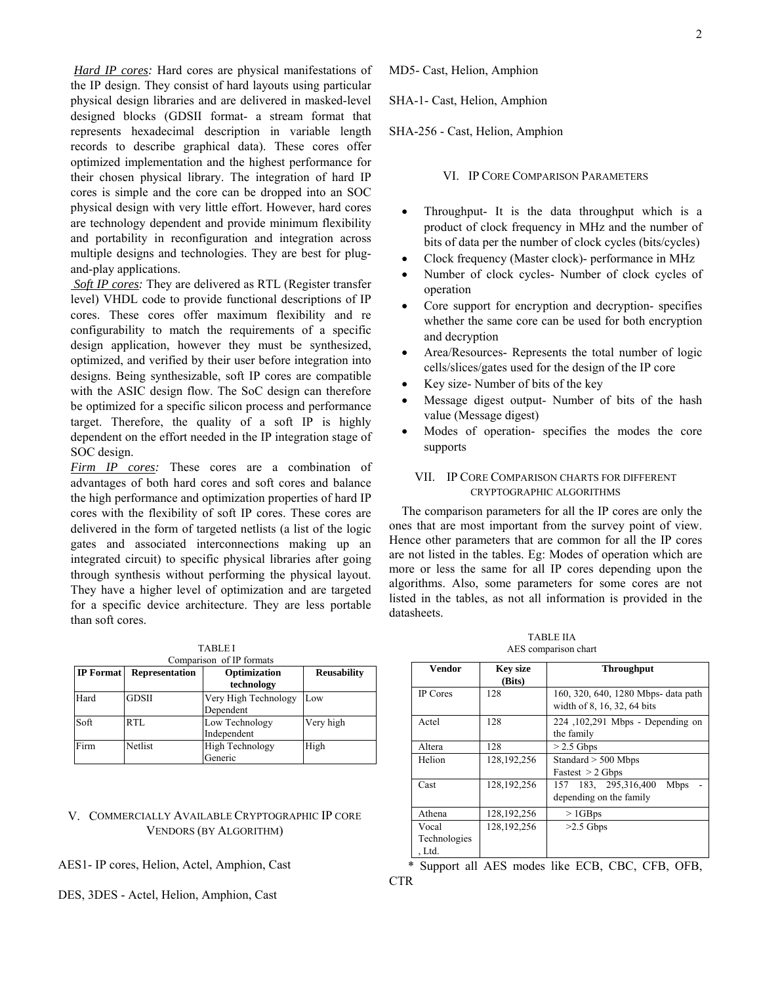*Hard IP cores:* Hard cores are physical manifestations of the IP design. They consist of hard layouts using particular physical design libraries and are delivered in masked-level designed blocks (GDSII format- a stream format that represents hexadecimal description in variable length records to describe graphical data). These cores offer optimized implementation and the highest performance for their chosen physical library. The integration of hard IP cores is simple and the core can be dropped into an SOC physical design with very little effort. However, hard cores are technology dependent and provide minimum flexibility and portability in reconfiguration and integration across multiple designs and technologies. They are best for plugand-play applications.

 *Soft IP cores:* They are delivered as RTL (Register transfer level) VHDL code to provide functional descriptions of IP cores. These cores offer maximum flexibility and re configurability to match the requirements of a specific design application, however they must be synthesized, optimized, and verified by their user before integration into designs. Being synthesizable, soft IP cores are compatible with the ASIC design flow. The SoC design can therefore be optimized for a specific silicon process and performance target. Therefore, the quality of a soft IP is highly dependent on the effort needed in the IP integration stage of SOC design.

*Firm IP cores:* These cores are a combination of advantages of both hard cores and soft cores and balance the high performance and optimization properties of hard IP cores with the flexibility of soft IP cores. These cores are delivered in the form of targeted netlists (a list of the logic gates and associated interconnections making up an integrated circuit) to specific physical libraries after going through synthesis without performing the physical layout. They have a higher level of optimization and are targeted for a specific device architecture. They are less portable than soft cores.

| <b>TABLEI</b> |                          |  |  |  |
|---------------|--------------------------|--|--|--|
|               | Comparison of IP formats |  |  |  |

| <b>IP</b> Format | <b>Representation</b> | Optimization<br>technology        | <b>Reusability</b> |
|------------------|-----------------------|-----------------------------------|--------------------|
| Hard             | <b>GDSII</b>          | Very High Technology<br>Dependent | Low                |
| Soft             | RTL                   | Low Technology<br>Independent     | Very high          |
| Firm             | Netlist               | <b>High Technology</b><br>Generic | High               |

# V. COMMERCIALLY AVAILABLE CRYPTOGRAPHIC IP CORE VENDORS (BY ALGORITHM)

# AES1- IP cores, Helion, Actel, Amphion, Cast

# DES, 3DES - Actel, Helion, Amphion, Cast

MD5- Cast, Helion, Amphion

SHA-1- Cast, Helion, Amphion

SHA-256 - Cast, Helion, Amphion

VI. IP CORE COMPARISON PARAMETERS

- Throughput- It is the data throughput which is a product of clock frequency in MHz and the number of bits of data per the number of clock cycles (bits/cycles)
- Clock frequency (Master clock)- performance in MHz
- Number of clock cycles- Number of clock cycles of operation
- Core support for encryption and decryption- specifies whether the same core can be used for both encryption and decryption
- Area/Resources- Represents the total number of logic cells/slices/gates used for the design of the IP core
- Key size- Number of bits of the key
- Message digest output- Number of bits of the hash value (Message digest)
- Modes of operation- specifies the modes the core supports

# VII. IP CORE COMPARISON CHARTS FOR DIFFERENT CRYPTOGRAPHIC ALGORITHMS

The comparison parameters for all the IP cores are only the ones that are most important from the survey point of view. Hence other parameters that are common for all the IP cores are not listed in the tables. Eg: Modes of operation which are more or less the same for all IP cores depending upon the algorithms. Also, some parameters for some cores are not listed in the tables, as not all information is provided in the datasheets.

| <b>TABLE IIA</b>     |  |
|----------------------|--|
| AES comparison chart |  |

| <b>Vendor</b>          | <b>Key size</b><br>(Bits) | <b>Throughput</b>                                                  |  |  |
|------------------------|---------------------------|--------------------------------------------------------------------|--|--|
| <b>IP</b> Cores        | 128                       | 160, 320, 640, 1280 Mbps- data path<br>width of 8, 16, 32, 64 bits |  |  |
| Actel                  | 128                       | 224, 102, 291 Mbps - Depending on<br>the family                    |  |  |
| Altera                 | 128                       | $> 2.5$ Gbps                                                       |  |  |
| Helion                 | 128, 192, 256             | Standard $>$ 500 Mbps<br>Fastest $> 2$ Gbps                        |  |  |
| Cast                   | 128, 192, 256             | 157 183, 295,316,400<br><b>Mbps</b><br>depending on the family     |  |  |
| Athena                 | 128, 192, 256             | $>1$ GBps                                                          |  |  |
| Vocal                  | 128, 192, 256             | $>2.5$ Gbps                                                        |  |  |
| Technologies<br>. Ltd. |                           |                                                                    |  |  |

\* Support all AES modes like ECB, CBC, CFB, OFB, **CTR**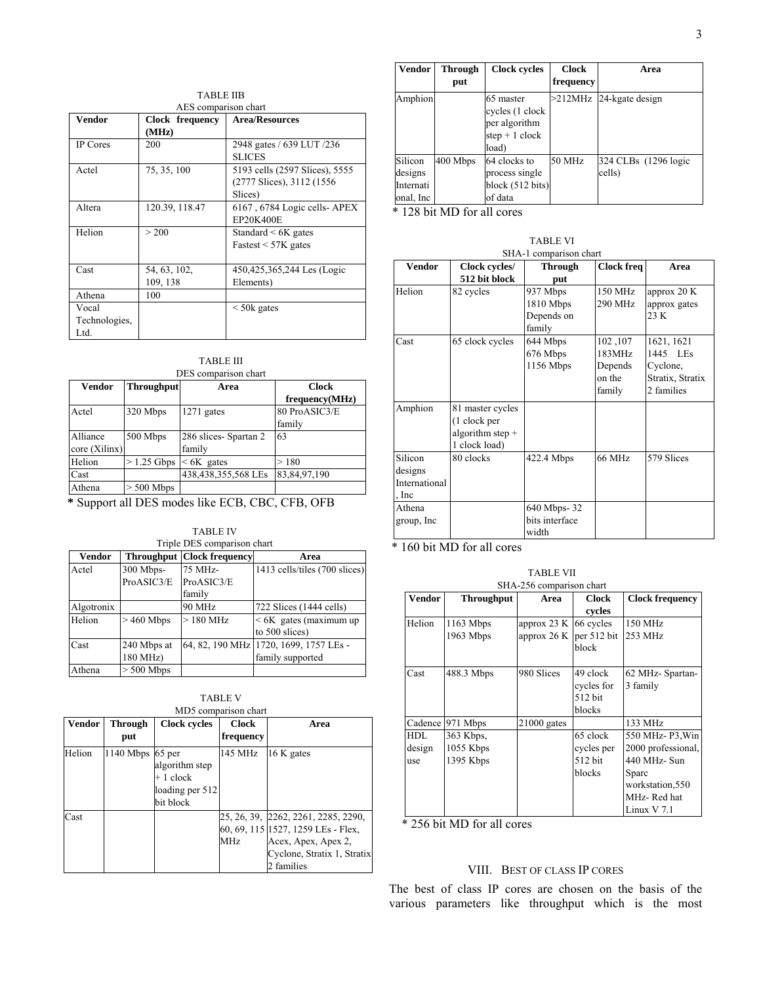| <b>TABLE IIB</b>     |                 |                                |  |  |
|----------------------|-----------------|--------------------------------|--|--|
| AES comparison chart |                 |                                |  |  |
| <b>Vendor</b>        | Clock frequency | <b>Area/Resources</b>          |  |  |
|                      | (MHz)           |                                |  |  |
| IP Cores             | 200             | 2948 gates / 639 LUT /236      |  |  |
|                      |                 | <b>SLICES</b>                  |  |  |
| Actel                | 75, 35, 100     | 5193 cells (2597 Slices), 5555 |  |  |
|                      |                 | (2777 Slices), 3112 (1556)     |  |  |
|                      |                 | Slices)                        |  |  |
| Altera               | 120.39, 118.47  | 6167, 6784 Logic cells-APEX    |  |  |
|                      |                 | <b>EP20K400E</b>               |  |  |
| Helion               | > 200           | Standard $\leq 6K$ gates       |  |  |
|                      |                 | Fastest $<$ 57K gates          |  |  |
|                      |                 |                                |  |  |
| Cast                 | 54, 63, 102,    | 450,425,365,244 Les (Logic     |  |  |
|                      | 109, 138        | Elements)                      |  |  |
| Athena               | 100             |                                |  |  |
| Vocal                |                 | $\leq$ 50 $k$ gates            |  |  |
| Technologies,        |                 |                                |  |  |
| Ltd.                 |                 |                                |  |  |

|       | <b>TABLE III</b> |  |  |  |  |
|-------|------------------|--|--|--|--|
| 5 D.Q |                  |  |  |  |  |

| Vendor<br><b>Throughput</b> |              | Area                 | <b>Clock</b>   |
|-----------------------------|--------------|----------------------|----------------|
|                             |              |                      | frequency(MHz) |
| Actel                       | 320 Mbps     | $1271$ gates         | 80 ProASIC3/E  |
|                             |              |                      | family         |
| Alliance                    | 500 Mbps     | 286 slices-Spartan 2 | 63             |
| core (Xilinx)               |              | family               |                |
| Helion                      | $>1.25$ Gbps | $< 6K$ gates         | >180           |
| Cast                        |              | 438,438,355,568 LEs  | 83,84,97,190   |
| Athena                      | $> 500$ Mbps |                      |                |

 **\*** Support all DES modes like ECB, CBC, CFB, OFB

TABLE IV

| <b>Vendor</b> |              | <b>Throughput Clock frequency</b> | Area                                        |
|---------------|--------------|-----------------------------------|---------------------------------------------|
| Actel         | 300 Mbps-    | 75 MHz-                           | 1413 cells/tiles (700 slices)               |
|               | ProASIC3/E   | ProASIC3/E                        |                                             |
|               |              | family                            |                                             |
| Algotronix    |              | 90 MHz                            | 722 Slices (1444 cells)                     |
| Helion        | $>460$ Mbps  | $>180$ MHz                        | $< 6K$ gates (maximum up)<br>to 500 slices) |
| Cast          | 240 Mbps at  |                                   | 64, 82, 190 MHz 1720, 1699, 1757 LEs -      |
|               | 180 MHz)     |                                   | family supported                            |
| Athena        | $> 500$ Mbps |                                   |                                             |

| ABLE: |  |
|-------|--|
|       |  |

| Vendor | <b>Through</b> | <b>Clock cycles</b>                                                    | <b>Clock</b>    | Area                                                                                                                                          |
|--------|----------------|------------------------------------------------------------------------|-----------------|-----------------------------------------------------------------------------------------------------------------------------------------------|
|        | put            |                                                                        | frequency       |                                                                                                                                               |
| Helion | 1140 Mbps      | 65 per<br>algorithm step<br>$+1$ clock<br>loading per 512<br>bit block | 145 MHz         | 16 K gates                                                                                                                                    |
| Cast   |                |                                                                        | MH <sub>z</sub> | 25, 26, 39, 2262, 2261, 2285, 2290,<br>60, 69, 115 1527, 1259 LEs - Flex,<br>Acex, Apex, Apex 2,<br>Cyclone, Stratix 1, Stratix<br>2 families |

| Vendor                                       | <b>Through</b><br>put | <b>Clock cycles</b>                                                       | <b>Clock</b><br>frequency | Area                           |
|----------------------------------------------|-----------------------|---------------------------------------------------------------------------|---------------------------|--------------------------------|
| Amphion                                      |                       | 65 master<br>cycles (1 clock<br>per algorithm<br>step $+1$ clock<br>load) | $>$ 212MHz                | 24-kgate design                |
| Silicon<br>designs<br>Internati<br>onal, Inc | 400 Mbps              | 64 clocks to<br>process single<br>block $(512 \text{ bits})$<br>of data   | 50 MHz                    | 324 CLBs (1296 logic<br>cells) |

\* 128 bit MD for all cores

TABLE VI SHA-1 comparison chart **Vendor Clock cycles/ 512 bit block Through put Clock freq Area**  Helion 82 cycles 937 Mbps 1810 Mbps Depends on family 150 MHz 290 MHz approx 20 K approx gates  $23K$ Cast 65 clock cycles 644 Mbps 676 Mbps 1156 Mbps 102 ,107 183MHz Depends on the family 1621, 1621 1445 LEs Cyclone, Stratix, Stratix 2 families Amphion 81 master cycles (1 clock per algorithm step + 1 clock load)<br>80 clocks Silicon designs International , Inc 422.4 Mbps 66 MHz 579 Slices Athena group, Inc 640 Mbps- 32 bits interface width

\* 160 bit MD for all cores

|               | SHA-256 comparison chart |               |              |                        |  |  |
|---------------|--------------------------|---------------|--------------|------------------------|--|--|
| <b>Vendor</b> | <b>Throughput</b>        | Area          | <b>Clock</b> | <b>Clock frequency</b> |  |  |
|               |                          |               | cycles       |                        |  |  |
| Helion        | $1163$ Mbps              | approx 23 K   | 66 cycles    | 150 MHz                |  |  |
|               | 1963 Mbps                | approx 26 K   | per 512 bit  | 253 MHz                |  |  |
|               |                          |               | block        |                        |  |  |
|               |                          |               |              |                        |  |  |
| Cast          | 488.3 Mbps               | 980 Slices    | 49 clock     | 62 MHz-Spartan-        |  |  |
|               |                          |               | cycles for   | 3 family               |  |  |
|               |                          |               | 512 bit      |                        |  |  |
|               |                          |               | blocks       |                        |  |  |
| Cadence       | 971 Mbps                 | $21000$ gates |              | 133 MHz                |  |  |
| <b>HDL</b>    | 363 Kbps,                |               | 65 clock     | 550 MHz-P3, Win        |  |  |
| design        | 1055 Kbps                |               | cycles per   | 2000 professional,     |  |  |
| use           | 1395 Kbps                |               | 512 bit      | 440 MHz- Sun           |  |  |
|               |                          |               | blocks       | Sparc                  |  |  |
|               |                          |               |              | workstation, 550       |  |  |
|               |                          |               |              | MHz-Red hat            |  |  |
|               |                          |               |              | Linux $V$ 7.1          |  |  |

TABLE VII

\* 256 bit MD for all cores

### VIII. BEST OF CLASS IP CORES

The best of class IP cores are chosen on the basis of the various parameters like throughput which is the most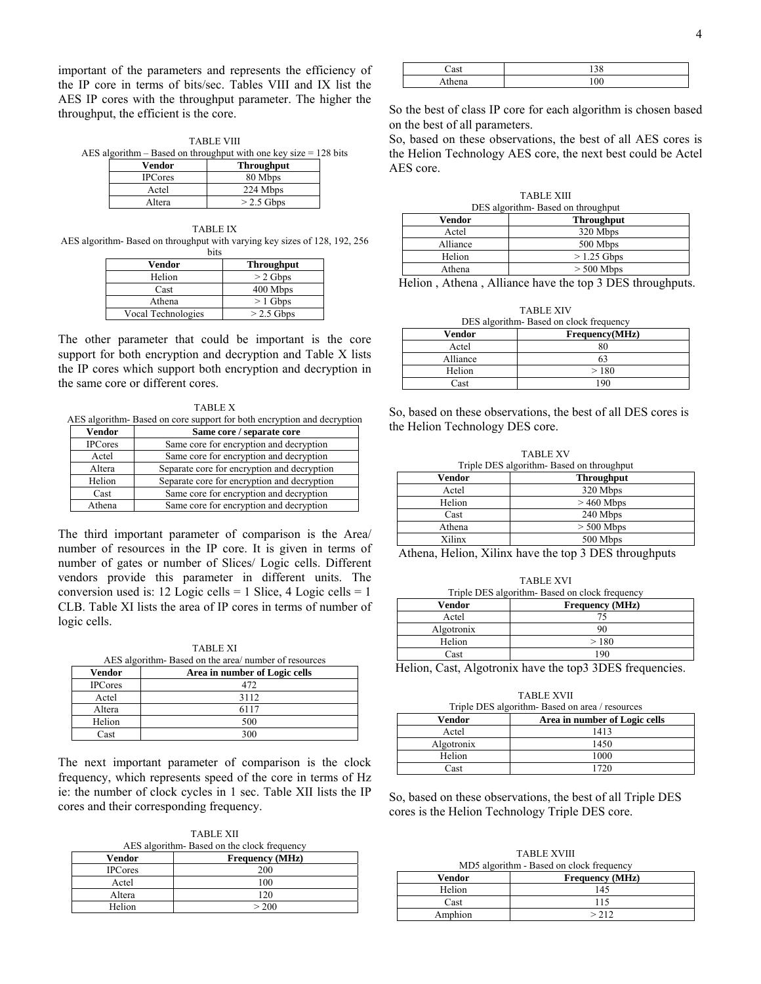important of the parameters and represents the efficiency of the IP core in terms of bits/sec. Tables VIII and IX list the AES IP cores with the throughput parameter. The higher the throughput, the efficient is the core.

TABLE VIII AES algorithm – Based on throughput with one key size = 128 bits

| Vendor         | <b>Throughput</b> |
|----------------|-------------------|
| <b>IPCores</b> | 80 Mbps           |
| Actel          | 224 Mbps          |
| Altera         | $>$ 2.5 Gbps      |

TABLE IX AES algorithm- Based on throughput with varying key sizes of 128, 192, 256 bits

| Vendor             | <b>Throughput</b> |
|--------------------|-------------------|
| Helion             | $>$ 2 Gbps        |
| Cast               | 400 Mbps          |
| Athena             | $>1$ Gbps         |
| Vocal Technologies | $>$ 2.5 Gbps      |

The other parameter that could be important is the core support for both encryption and decryption and Table X lists the IP cores which support both encryption and decryption in the same core or different cores.

TABLE X AES algorithm- Based on core support for both encryption and decryption

| Vendor         | Same core / separate core                   |
|----------------|---------------------------------------------|
| <b>IPCores</b> | Same core for encryption and decryption     |
| Actel          | Same core for encryption and decryption     |
| Altera         | Separate core for encryption and decryption |
| Helion         | Separate core for encryption and decryption |
| Cast           | Same core for encryption and decryption     |
| Athena         | Same core for encryption and decryption     |

The third important parameter of comparison is the Area/ number of resources in the IP core. It is given in terms of number of gates or number of Slices/ Logic cells. Different vendors provide this parameter in different units. The conversion used is:  $12$  Logic cells = 1 Slice,  $4$  Logic cells = 1 CLB. Table XI lists the area of IP cores in terms of number of logic cells.

TABLE XI  $A \to \Omega$  algorithm-  $B$ ased on

| Vendor         | ALS algorithmi- Based on the area/ number of resources<br>Area in number of Logic cells |
|----------------|-----------------------------------------------------------------------------------------|
| <b>IPCores</b> | 472                                                                                     |
| Actel          | 3112                                                                                    |
| Altera         | 6117                                                                                    |
| Helion         | 500                                                                                     |
| Cast           | 300                                                                                     |

The next important parameter of comparison is the clock frequency, which represents speed of the core in terms of Hz ie: the number of clock cycles in 1 sec. Table XII lists the IP cores and their corresponding frequency.

TABLE XII AES algorithm. Based on the clock frequency

| Vendor         | <b>Frequency</b> (MHz) |
|----------------|------------------------|
| <b>IPCores</b> | 200                    |
| Actel          | 100                    |
| Altera         | 120                    |
| Helion         | > 200                  |

| $1$ statement | ◡ |
|---------------|---|

So the best of class IP core for each algorithm is chosen based on the best of all parameters.

So, based on these observations, the best of all AES cores is the Helion Technology AES core, the next best could be Actel AES core.

TABLE XIII DES algorithm- Based on throughput **Vendor Throughput**  Actel 320 Mbps Alliance 500 Mbps

Helion  $> 1.25$  Gbps Athena  $> 500$  Mbps

Helion , Athena , Alliance have the top 3 DES throughputs.

| <b>TABLE XIV</b>                       |                |
|----------------------------------------|----------------|
| DES algorithm Based on clock frequency |                |
| Vendor                                 | Frequency(MHz) |
| Actel                                  | 80             |
| Alliance                               | 63             |
| Helion                                 | >180           |
| Cast                                   | 1 Q C          |

So, based on these observations, the best of all DES cores is the Helion Technology DES core.

TABLE XV Triple DES algorithm- Based on throughput **Vendor Throughput** 

| .      | ------------- |
|--------|---------------|
| Actel  | 320 Mbps      |
| Helion | $>460$ Mbps   |
| Cast   | 240 Mbps      |
| Athena | $> 500$ Mbps  |
| Xilinx | 500 Mbps      |

Athena, Helion, Xilinx have the top 3 DES throughputs

TABLE XVI Triple DES algorithm- Based on clock frequency Vendor **Frequency (MHz)** Actel 75 Algotronix 90 Helion  $> 180$ Cast 190

Helion, Cast, Algotronix have the top3 3DES frequencies.

TABLE XVII

| Triple DES algorithm-Based on area / resources |                               |
|------------------------------------------------|-------------------------------|
| Vendor                                         | Area in number of Logic cells |
| Actel                                          | 1413                          |
| Algotronix                                     | 1450                          |
| Helion                                         | 1000                          |
| Cast                                           | 1720                          |

So, based on these observations, the best of all Triple DES cores is the Helion Technology Triple DES core.

TABLE XVIII MD5 algorithm - Based on clock frequency

| $1000$ argument - Dasca on clock frequency |                        |
|--------------------------------------------|------------------------|
| Vendor                                     | <b>Frequency</b> (MHz) |
| Helion                                     | 145                    |
| Cast                                       | 115                    |
| Amphion                                    | > 212                  |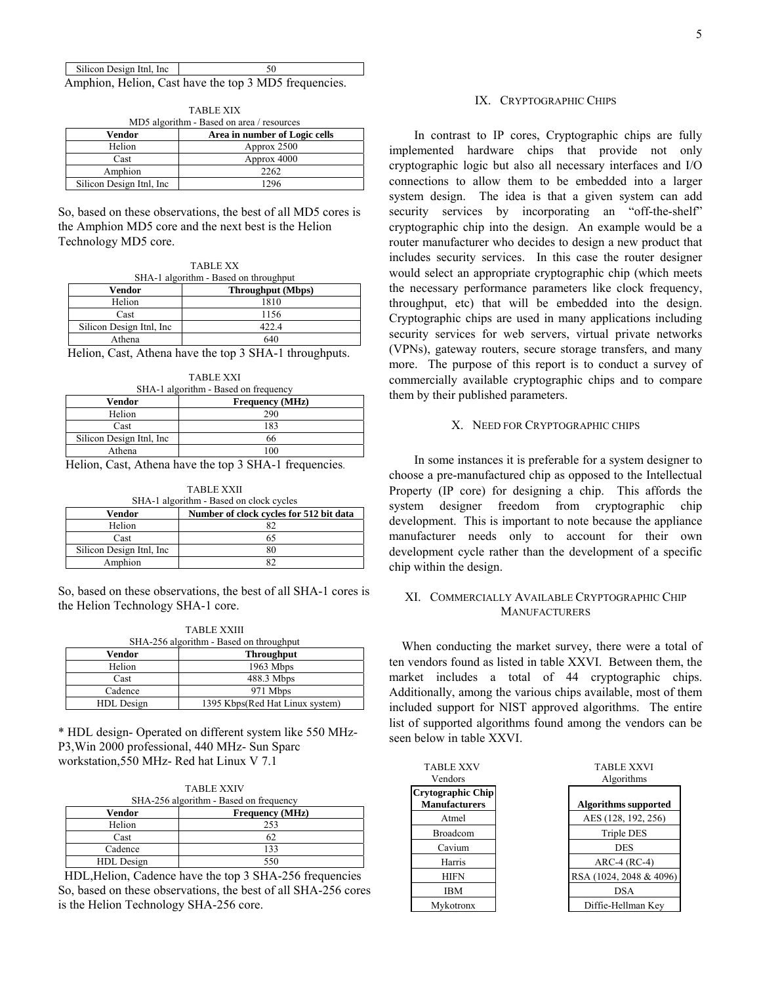| Silicon Design Itnl, Inc. |                                                       |
|---------------------------|-------------------------------------------------------|
|                           | Amphion, Helion, Cast have the top 3 MD5 frequencies. |

| <b>TABLE XIX</b>                          |                           |                               |
|-------------------------------------------|---------------------------|-------------------------------|
| MD5 algorithm - Based on area / resources |                           |                               |
|                                           | Vendor                    | Area in number of Logic cells |
|                                           | Helion                    | Approx 2500                   |
|                                           | Cast                      | Approx 4000                   |
|                                           | Amphion                   | 2262                          |
|                                           | Silicon Design Itnl, Inc. | 1296                          |

So, based on these observations, the best of all MD5 cores is the Amphion MD5 core and the next best is the Helion Technology MD5 core.

| <b>TABLE XX</b> |                                       |  |  |  |
|-----------------|---------------------------------------|--|--|--|
|                 | SHA-1 algorithm - Based on throughput |  |  |  |

| $51.11$ algorithm Dasca on throughput |                          |  |  |  |
|---------------------------------------|--------------------------|--|--|--|
| Vendor                                | <b>Throughput</b> (Mbps) |  |  |  |
| Helion                                | 1810                     |  |  |  |
| Cast                                  | 1156                     |  |  |  |
| Silicon Design Ithl. Inc.             | 422.4                    |  |  |  |
| Athena                                | 640                      |  |  |  |

 Helion, Cast, Athena have the top 3 SHA-1 throughputs. TABLE XXI

| TADIJE AAL                           |     |  |  |
|--------------------------------------|-----|--|--|
| SHA-1 algorithm - Based on frequency |     |  |  |
| Vendor<br><b>Frequency</b> (MHz)     |     |  |  |
| Helion                               | 290 |  |  |
| Cast                                 | 183 |  |  |
| Silicon Design Ithl, Inc.            | 66  |  |  |
| Athena                               | 100 |  |  |

Helion, Cast, Athena have the top 3 SHA-1 frequencies.

TABLE XXII SHA-1 algorithm - Based on clock cycles **Vendor** Number of clock cycles for 512 bit data Helion 82 Cast 65

So, based on these observations, the best of all SHA-1 cores is the Helion Technology SHA-1 core.

TABLE XXIII

Silicon Design Itnl, Inc 80<br>Amphion 82

Amphion

| TADIJE AAIIE                            |                                 |  |  |  |
|-----------------------------------------|---------------------------------|--|--|--|
| SHA-256 algorithm - Based on throughput |                                 |  |  |  |
| <b>Throughput</b><br>Vendor             |                                 |  |  |  |
| Helion                                  | 1963 Mbps                       |  |  |  |
| Cast                                    | 488.3 Mbps                      |  |  |  |
| Cadence                                 | 971 Mbps                        |  |  |  |
| HDL Design                              | 1395 Kbps(Red Hat Linux system) |  |  |  |

\* HDL design- Operated on different system like 550 MHz-P3,Win 2000 professional, 440 MHz- Sun Sparc workstation,550 MHz- Red hat Linux V 7.1

| <b>TABLE XXIV</b><br>SHA-256 algorithm - Based on frequency |                        |  |  |  |
|-------------------------------------------------------------|------------------------|--|--|--|
| Vendor                                                      | <b>Frequency (MHz)</b> |  |  |  |
| Helion                                                      | 253                    |  |  |  |
| Cast                                                        | 62                     |  |  |  |
| Cadence                                                     | 133                    |  |  |  |
| HDL Design                                                  | 550                    |  |  |  |

HDL,Helion, Cadence have the top 3 SHA-256 frequencies So, based on these observations, the best of all SHA-256 cores is the Helion Technology SHA-256 core.

#### IX. CRYPTOGRAPHIC CHIPS

 In contrast to IP cores, Cryptographic chips are fully implemented hardware chips that provide not only cryptographic logic but also all necessary interfaces and I/O connections to allow them to be embedded into a larger system design. The idea is that a given system can add security services by incorporating an "off-the-shelf" cryptographic chip into the design. An example would be a router manufacturer who decides to design a new product that includes security services. In this case the router designer would select an appropriate cryptographic chip (which meets the necessary performance parameters like clock frequency, throughput, etc) that will be embedded into the design. Cryptographic chips are used in many applications including security services for web servers, virtual private networks (VPNs), gateway routers, secure storage transfers, and many more. The purpose of this report is to conduct a survey of commercially available cryptographic chips and to compare them by their published parameters.

#### X. NEED FOR CRYPTOGRAPHIC CHIPS

 In some instances it is preferable for a system designer to choose a pre-manufactured chip as opposed to the Intellectual Property (IP core) for designing a chip. This affords the system designer freedom from cryptographic chip development. This is important to note because the appliance manufacturer needs only to account for their own development cycle rather than the development of a specific chip within the design.

## XI. COMMERCIALLY AVAILABLE CRYPTOGRAPHIC CHIP **MANUFACTURERS**

When conducting the market survey, there were a total of ten vendors found as listed in table XXVI. Between them, the market includes a total of 44 cryptographic chips. Additionally, among the various chips available, most of them included support for NIST approved algorithms. The entire list of supported algorithms found among the vendors can be seen below in table XXVI.

| <b>TABLE XXV</b><br>Vendors                      | <b>TABLE XXVI</b><br>Algorithms |
|--------------------------------------------------|---------------------------------|
| <b>Crytographic Chip</b><br><b>Manufacturers</b> | <b>Algorithms supported</b>     |
| Atmel                                            | AES (128, 192, 256)             |
| <b>Broadcom</b>                                  | <b>Triple DES</b>               |
| Cavium                                           | <b>DES</b>                      |
| Harris                                           | $ARC-4 (RC-4)$                  |
| <b>HIFN</b>                                      | RSA (1024, 2048 & 4096)         |
| <b>IBM</b>                                       | <b>DSA</b>                      |
| Mvkotronx                                        | Diffie-Hellman Key              |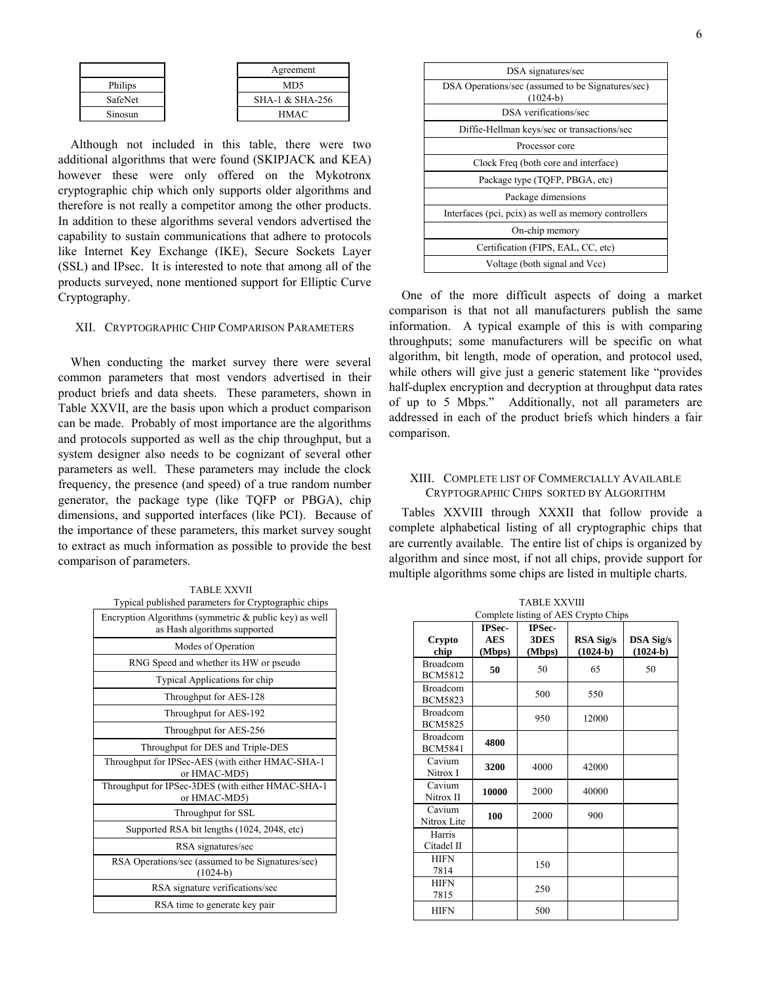|         |  | Agreement       |  |
|---------|--|-----------------|--|
| Philips |  | MD <sub>5</sub> |  |
| SafeNet |  | SHA-1 & SHA-256 |  |
| Sinosun |  | HMAC            |  |

Although not included in this table, there were two additional algorithms that were found (SKIPJACK and KEA) however these were only offered on the Mykotronx cryptographic chip which only supports older algorithms and therefore is not really a competitor among the other products. In addition to these algorithms several vendors advertised the capability to sustain communications that adhere to protocols like Internet Key Exchange (IKE), Secure Sockets Layer (SSL) and IPsec. It is interested to note that among all of the products surveyed, none mentioned support for Elliptic Curve Cryptography.

#### XII. CRYPTOGRAPHIC CHIP COMPARISON PARAMETERS

When conducting the market survey there were several common parameters that most vendors advertised in their product briefs and data sheets. These parameters, shown in Table XXVII, are the basis upon which a product comparison can be made. Probably of most importance are the algorithms and protocols supported as well as the chip throughput, but a system designer also needs to be cognizant of several other parameters as well. These parameters may include the clock frequency, the presence (and speed) of a true random number generator, the package type (like TQFP or PBGA), chip dimensions, and supported interfaces (like PCI). Because of the importance of these parameters, this market survey sought to extract as much information as possible to provide the best comparison of parameters.

TABLE XXVII Typical published parameters for Cryptographic chips

| Encryption Algorithms (symmetric $\&$ public key) as well<br>as Hash algorithms supported |
|-------------------------------------------------------------------------------------------|
| Modes of Operation                                                                        |
| RNG Speed and whether its HW or pseudo                                                    |
| <b>Typical Applications for chip</b>                                                      |
| Throughput for AES-128                                                                    |
| Throughput for AES-192                                                                    |
| Throughput for AES-256                                                                    |
| Throughput for DES and Triple-DES                                                         |
| Throughput for IPSec-AES (with either HMAC-SHA-1<br>or HMAC-MD5)                          |
| Throughput for IPSec-3DES (with either HMAC-SHA-1<br>or HMAC-MD5)                         |
| Throughput for SSL                                                                        |
| Supported RSA bit lengths (1024, 2048, etc)                                               |
| RSA signatures/sec                                                                        |
| RSA Operations/sec (assumed to be Signatures/sec)<br>$(1024-b)$                           |
| RSA signature verifications/sec                                                           |
| RSA time to generate key pair                                                             |

| DSA signatures/sec                                              |
|-----------------------------------------------------------------|
| DSA Operations/sec (assumed to be Signatures/sec)<br>$(1024-b)$ |
| DSA verifications/sec                                           |
| Diffie-Hellman keys/sec or transactions/sec                     |
| Processor core                                                  |
| Clock Freq (both core and interface)                            |
| Package type (TQFP, PBGA, etc)                                  |
| Package dimensions                                              |
| Interfaces (pci, pcix) as well as memory controllers            |
| On-chip memory                                                  |
| Certification (FIPS, EAL, CC, etc)                              |
| Voltage (both signal and Vcc)                                   |

One of the more difficult aspects of doing a market comparison is that not all manufacturers publish the same information. A typical example of this is with comparing throughputs; some manufacturers will be specific on what algorithm, bit length, mode of operation, and protocol used, while others will give just a generic statement like "provides half-duplex encryption and decryption at throughput data rates of up to 5 Mbps." Additionally, not all parameters are addressed in each of the product briefs which hinders a fair comparison.

### XIII. COMPLETE LIST OF COMMERCIALLY AVAILABLE CRYPTOGRAPHIC CHIPS SORTED BY ALGORITHM

Tables XXVIII through XXXII that follow provide a complete alphabetical listing of all cryptographic chips that are currently available. The entire list of chips is organized by algorithm and since most, if not all chips, provide support for multiple algorithms some chips are listed in multiple charts.

| Complete listing of AES Crypto Chips |                                       |                                 |                         |                         |
|--------------------------------------|---------------------------------------|---------------------------------|-------------------------|-------------------------|
| Crypto<br>chip                       | <b>IPSec-</b><br><b>AES</b><br>(Mbps) | <b>IPSec-</b><br>3DES<br>(Mbps) | RSA Sig/s<br>$(1024-b)$ | DSA Sig/s<br>$(1024-b)$ |
| <b>Broadcom</b><br><b>BCM5812</b>    | 50                                    | 50                              | 65                      | 50                      |
| <b>Broadcom</b><br><b>BCM5823</b>    |                                       | 500                             | 550                     |                         |
| <b>Broadcom</b><br><b>BCM5825</b>    |                                       | 950                             | 12000                   |                         |
| <b>Broadcom</b><br><b>BCM5841</b>    | 4800                                  |                                 |                         |                         |
| Cavium<br>Nitrox I                   | 3200                                  | 4000                            | 42000                   |                         |
| Cavium<br>Nitrox II                  | 10000                                 | 2000                            | 40000                   |                         |
| Cavium<br>Nitrox Lite                | 100                                   | 2000                            | 900                     |                         |
| Harris<br>Citadel II                 |                                       |                                 |                         |                         |
| <b>HIFN</b><br>7814                  |                                       | 150                             |                         |                         |
| <b>HIFN</b><br>7815                  |                                       | 250                             |                         |                         |
| <b>HIFN</b>                          |                                       | 500                             |                         |                         |

TABLE XXVIII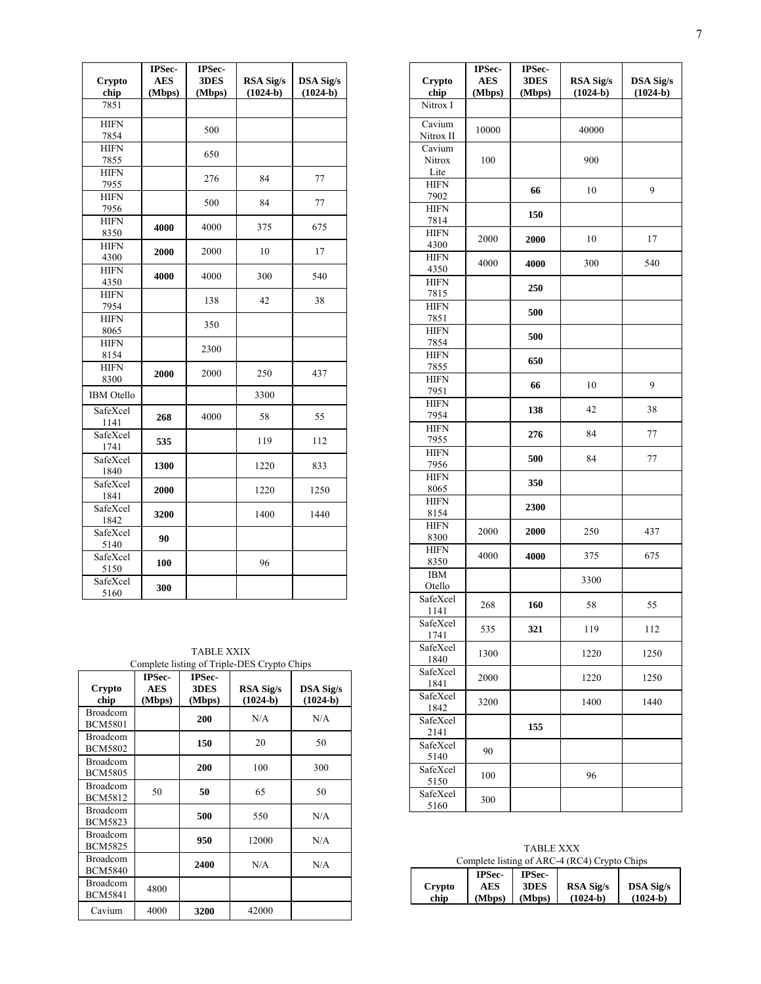|                     | IPSec-     | IPSec- |                  |                  |
|---------------------|------------|--------|------------------|------------------|
| Crypto              | <b>AES</b> | 3DES   | <b>RSA Sig/s</b> | <b>DSA Sig/s</b> |
| chip                | (Mbps)     | (Mbps) | $(1024-b)$       | $(1024-b)$       |
| 7851                |            |        |                  |                  |
| <b>HIFN</b>         |            | 500    |                  |                  |
| 7854                |            |        |                  |                  |
| <b>HIFN</b>         |            | 650    |                  |                  |
| 7855                |            |        |                  |                  |
| <b>HIFN</b>         |            | 276    | 84               | 77               |
| 7955<br><b>HIFN</b> |            |        |                  |                  |
| 7956                |            | 500    | 84               | 77               |
| <b>HIFN</b>         |            |        |                  |                  |
| 8350                | 4000       | 4000   | 375              | 675              |
| <b>HIFN</b>         |            |        |                  |                  |
| 4300                | 2000       | 2000   | 10               | 17               |
| <b>HIFN</b>         | 4000       |        | 300              |                  |
| 4350                |            | 4000   |                  | 540              |
| <b>HIFN</b>         |            | 138    | 42               | 38               |
| 7954                |            |        |                  |                  |
| <b>HIFN</b>         |            | 350    |                  |                  |
| 8065                |            |        |                  |                  |
| <b>HIFN</b>         |            | 2300   |                  |                  |
| 8154                |            |        |                  |                  |
| <b>HIFN</b>         | 2000       | 2000   | 250              | 437              |
| 8300                |            |        |                  |                  |
| <b>IBM</b> Otello   |            |        | 3300             |                  |
| SafeXcel<br>1141    | 268        | 4000   | 58               | 55               |
| SafeXcel            |            |        |                  |                  |
| 1741                | 535        |        | 119              | 112              |
| SafeXcel            | 1300       |        | 1220             | 833              |
| 1840                |            |        |                  |                  |
| SafeXcel            | 2000       |        | 1220             | 1250             |
| 1841                |            |        |                  |                  |
| SafeXcel            | 3200       |        | 1400             | 1440             |
| 1842                |            |        |                  |                  |
| SafeXcel<br>5140    | 90         |        |                  |                  |
| SafeXcel            |            |        |                  |                  |
| 5150                | 100        |        | 96               |                  |
| SafeXcel            |            |        |                  |                  |
| 5160                | 300        |        |                  |                  |

| <b>TABLE XXIX</b><br>Complete listing of Triple-DES Crypto Chips |                                |                          |                         |                                |
|------------------------------------------------------------------|--------------------------------|--------------------------|-------------------------|--------------------------------|
| Crypto<br>chip                                                   | <b>IPSec-</b><br>AES<br>(Mbps) | IPSec-<br>3DES<br>(Mbps) | RSA Sig/s<br>$(1024-b)$ | <b>DSA Sig/s</b><br>$(1024-b)$ |
| <b>Broadcom</b><br><b>BCM5801</b>                                |                                | 200                      | N/A                     | N/A                            |
| Broadcom<br><b>BCM5802</b>                                       |                                | 150                      | 20                      | 50                             |
| <b>Broadcom</b><br><b>BCM5805</b>                                |                                | 200                      | 100                     | 300                            |
| <b>Broadcom</b><br><b>BCM5812</b>                                | 50                             | 50                       | 65                      | 50                             |
| Broadcom<br><b>BCM5823</b>                                       |                                | 500                      | 550                     | N/A                            |
| <b>Broadcom</b><br><b>BCM5825</b>                                |                                | 950                      | 12000                   | N/A                            |
| <b>Broadcom</b><br><b>BCM5840</b>                                |                                | 2400                     | N/A                     | N/A                            |
| Broadcom<br><b>BCM5841</b>                                       | 4800                           |                          |                         |                                |
| Cavium                                                           | 4000                           | 3200                     | 42000                   |                                |

| Crypto<br>chip           | <b>IPSec-</b><br><b>AES</b><br>(Mbps) | <b>IPSec-</b><br>3DES<br>(Mbps) | <b>RSA Sig/s</b><br>$(1024-b)$ | <b>DSA Sig/s</b><br>$(1024-b)$ |
|--------------------------|---------------------------------------|---------------------------------|--------------------------------|--------------------------------|
| Nitrox I                 |                                       |                                 |                                |                                |
| Cavium<br>Nitrox II      | 10000                                 |                                 | 40000                          |                                |
| Cavium<br>Nitrox<br>Lite | 100                                   |                                 | 900                            |                                |
| <b>HIFN</b><br>7902      |                                       | 66                              | 10                             | 9                              |
| <b>HIFN</b><br>7814      |                                       | 150                             |                                |                                |
| <b>HIFN</b><br>4300      | 2000                                  | 2000                            | 10                             | 17                             |
| <b>HIFN</b><br>4350      | 4000                                  | 4000                            | 300                            | 540                            |
| <b>HIFN</b><br>7815      |                                       | 250                             |                                |                                |
| <b>HIFN</b><br>7851      |                                       | 500                             |                                |                                |
| <b>HIFN</b><br>7854      |                                       | 500                             |                                |                                |
| <b>HIFN</b><br>7855      |                                       | 650                             |                                |                                |
| <b>HIFN</b><br>7951      |                                       | 66                              | 10                             | 9                              |
| <b>HIFN</b><br>7954      |                                       | 138                             | 42                             | 38                             |
| <b>HIFN</b><br>7955      |                                       | 276                             | 84                             | 77                             |
| <b>HIFN</b><br>7956      |                                       | 500                             | 84                             | 77                             |
| <b>HIFN</b><br>8065      |                                       | 350                             |                                |                                |
| <b>HIFN</b><br>8154      |                                       | 2300                            |                                |                                |
| <b>HIFN</b><br>8300      | 2000                                  | 2000                            | 250                            | 437                            |
| <b>HIFN</b><br>8350      | 4000                                  | 4000                            | 375                            | 675                            |
| <b>IBM</b><br>Otello     |                                       |                                 | 3300                           |                                |
| SafeXcel<br>1141         | 268                                   | 160                             | 58                             | 55                             |
| SafeXcel<br>1741         | 535                                   | 321                             | 119                            | 112                            |
| SafeXcel<br>1840         | 1300                                  |                                 | 1220                           | 1250                           |
| SafeXcel<br>1841         | 2000                                  |                                 | 1220                           | 1250                           |
| SafeXcel<br>1842         | 3200                                  |                                 | 1400                           | 1440                           |
| SafeXcel<br>2141         |                                       | 155                             |                                |                                |
| SafeXcel<br>5140         | 90                                    |                                 |                                |                                |
| SafeXcel<br>5150         | 100                                   |                                 | 96                             |                                |
| SafeXcel<br>5160         | 300                                   |                                 |                                |                                |

|  |  |  | <b>TABLE XXX</b> |  |  |
|--|--|--|------------------|--|--|
|  |  |  |                  |  |  |

| Complete listing of ARC-4 (RC4) Crypto Chips |                                |        |                  |                  |
|----------------------------------------------|--------------------------------|--------|------------------|------------------|
|                                              | <b>IPSec-</b><br><b>IPSec-</b> |        |                  |                  |
| Crypto                                       | AES                            | 3DES   | <b>RSA Sig/s</b> | <b>DSA Sig/s</b> |
| chip                                         | (Mbps)                         | (Mbps) | $(1024-b)$       | $(1024-b)$       |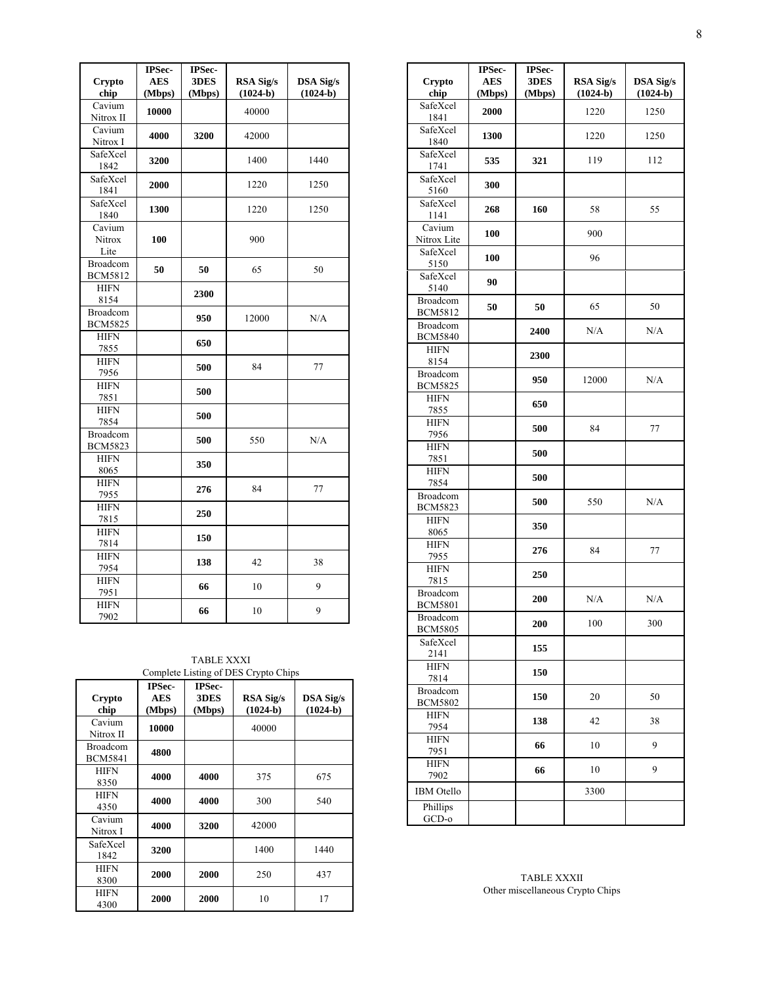|                     | IPSec-               | IPSec-         |                                | <b>DSA Sig/s</b> |
|---------------------|----------------------|----------------|--------------------------------|------------------|
| Crypto<br>chip      | <b>AES</b><br>(Mbps) | 3DES<br>(Mbps) | <b>RSA Sig/s</b><br>$(1024-b)$ | $(1024-b)$       |
| Cavium              |                      |                | 40000                          |                  |
| Nitrox II           | 10000                |                |                                |                  |
| Cavium              | 4000                 | 3200           | 42000                          |                  |
| Nitrox I            |                      |                |                                |                  |
| SafeXcel<br>1842    | 3200                 |                | 1400                           | 1440             |
| SafeXcel            |                      |                |                                |                  |
| 1841                | 2000                 |                | 1220                           | 1250             |
| SafeXcel            | 1300                 |                | 1220                           | 1250             |
| 1840                |                      |                |                                |                  |
| Cavium              |                      |                |                                |                  |
| Nitrox              | 100                  |                | 900                            |                  |
| Lite<br>Broadcom    |                      |                |                                |                  |
| <b>BCM5812</b>      | 50                   | 50             | 65                             | 50               |
| <b>HIFN</b>         |                      |                |                                |                  |
| 8154                |                      | 2300           |                                |                  |
| Broadcom            |                      |                |                                |                  |
| <b>BCM5825</b>      |                      | 950            | 12000                          | N/A              |
| <b>HIFN</b>         |                      | 650            |                                |                  |
| 7855                |                      |                |                                |                  |
| <b>HIFN</b>         |                      | 500            | 84                             | 77               |
| 7956<br><b>HIFN</b> |                      |                |                                |                  |
| 7851                |                      | 500            |                                |                  |
| <b>HIFN</b>         |                      |                |                                |                  |
| 7854                |                      | 500            |                                |                  |
| Broadcom            |                      |                |                                |                  |
| <b>BCM5823</b>      |                      | 500            | 550                            | N/A              |
| <b>HIFN</b>         |                      | 350            |                                |                  |
| 8065                |                      |                |                                |                  |
| <b>HIFN</b>         |                      | 276            | 84                             | 77               |
| 7955                |                      |                |                                |                  |
| <b>HIFN</b>         |                      | 250            |                                |                  |
| 7815<br><b>HIFN</b> |                      |                |                                |                  |
| 7814                |                      | 150            |                                |                  |
| <b>HIFN</b>         |                      |                |                                |                  |
| 7954                |                      | 138            | 42                             | 38               |
| <b>HIFN</b>         |                      |                | 10                             | 9                |
| 7951                |                      | 66             |                                |                  |
| <b>HIFN</b>         |                      | 66             | 10                             | 9                |
| 7902                |                      |                |                                |                  |

TABLE XXXI

| Crypto<br>chip                    | <b>IPSec-</b><br>AES<br>(Mbps) | <b>IPSec-</b><br>3DES<br>(Mbps) | RSA Sig/s<br>$(1024-b)$ | DSA Sig/s<br>$(1024-b)$ |
|-----------------------------------|--------------------------------|---------------------------------|-------------------------|-------------------------|
| Cavium<br>Nitrox II               | 10000                          |                                 | 40000                   |                         |
| <b>Broadcom</b><br><b>BCM5841</b> | 4800                           |                                 |                         |                         |
| HIFN<br>8350                      | 4000                           | 4000                            | 375                     | 675                     |
| HIFN<br>4350                      | 4000                           | 4000                            | 300                     | 540                     |
| Cavium<br>Nitrox I                | 4000                           | 3200                            | 42000                   |                         |
| SafeXcel<br>1842                  | 3200                           |                                 | 1400                    | 1440                    |
| <b>HIFN</b><br>8300               | 2000                           | 2000                            | 250                     | 437                     |
| HIFN<br>4300                      | 2000                           | 2000                            | 10                      | 17                      |

| <b>Crypto</b><br>chip             | IPSec-<br><b>AES</b><br>(Mbps) | IPSec-<br>3DES<br>(Mbps) | <b>RSA Sig/s</b><br>$(1024-b)$ | <b>DSA Sig/s</b><br>$(1024-b)$ |
|-----------------------------------|--------------------------------|--------------------------|--------------------------------|--------------------------------|
| SafeXcel<br>1841                  | 2000                           |                          | 1220                           | 1250                           |
| SafeXcel<br>1840                  | 1300                           |                          | 1220                           | 1250                           |
| SafeXcel<br>1741                  | 535                            | 321                      | 119                            | 112                            |
| SafeXcel<br>5160                  | 300                            |                          |                                |                                |
| SafeXcel<br>1141                  | 268                            | 160                      | 58                             | 55                             |
| Cavium<br>Nitrox Lite             | 100                            |                          | 900                            |                                |
| SafeXcel<br>5150                  | 100                            |                          | 96                             |                                |
| SafeXcel<br>5140                  | 90                             |                          |                                |                                |
| <b>Broadcom</b><br><b>BCM5812</b> | 50                             | 50                       | 65                             | 50                             |
| <b>Broadcom</b><br><b>BCM5840</b> |                                | 2400                     | N/A                            | N/A                            |
| <b>HIFN</b><br>8154               |                                | 2300                     |                                |                                |
| <b>Broadcom</b><br><b>BCM5825</b> |                                | 950                      | 12000                          | N/A                            |
| <b>HIFN</b><br>7855               |                                | 650                      |                                |                                |
| <b>HIFN</b><br>7956               |                                | 500                      | 84                             | 77                             |
| <b>HIFN</b><br>7851               |                                | 500                      |                                |                                |
| <b>HIFN</b><br>7854               |                                | 500                      |                                |                                |
| <b>Broadcom</b><br><b>BCM5823</b> |                                | 500                      | 550                            | N/A                            |
| <b>HIFN</b><br>8065               |                                | 350                      |                                |                                |
| <b>HIFN</b><br>7955               |                                | 276                      | 84                             | 77                             |
| <b>HIFN</b><br>7815               |                                | 250                      |                                |                                |
| Broadcom<br><b>BCM5801</b>        |                                | 200                      | N/A                            | N/A                            |
| Broadcom<br><b>BCM5805</b>        |                                | <b>200</b>               | 100                            | 300                            |
| SafeXcel<br>2141                  |                                | 155                      |                                |                                |
| <b>HIFN</b><br>7814               |                                | 150                      |                                |                                |
| Broadcom<br><b>BCM5802</b>        |                                | 150                      | 20                             | 50                             |
| <b>HIFN</b><br>7954               |                                | 138                      | 42                             | 38                             |
| <b>HIFN</b><br>7951               |                                | 66                       | 10                             | 9                              |
| <b>HIFN</b><br>7902               |                                | 66                       | 10                             | 9                              |
| <b>IBM</b> Otello                 |                                |                          | 3300                           |                                |
| Phillips<br>GCD-0                 |                                |                          |                                |                                |

TABLE XXXII Other miscellaneous Crypto Chips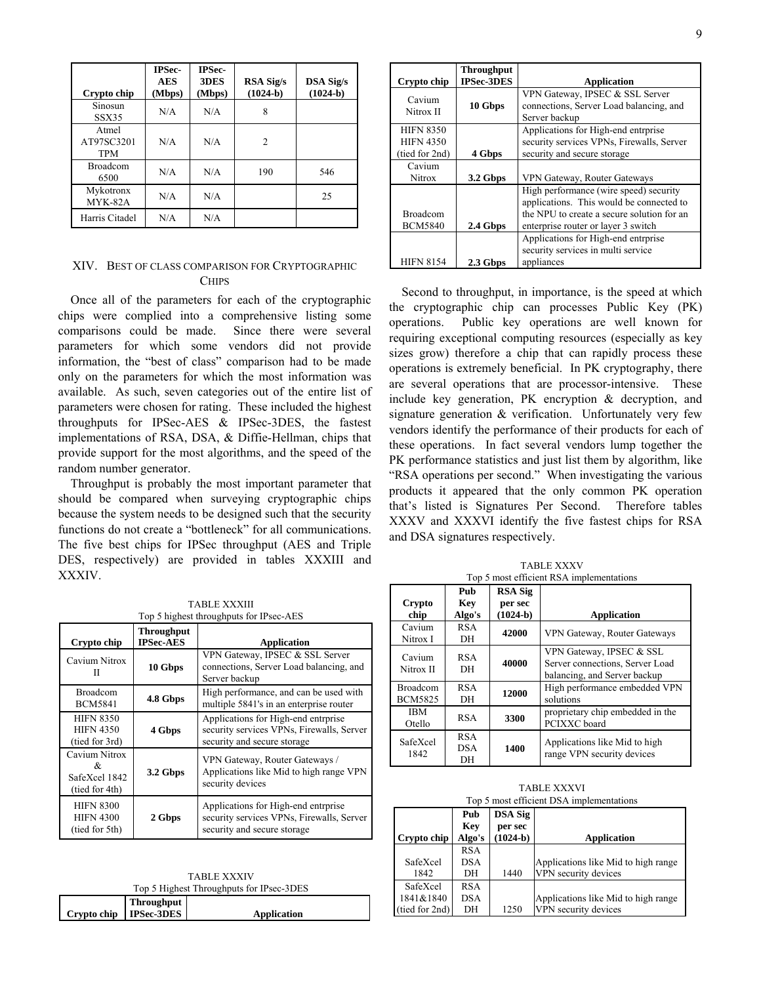| Crypto chip                       | <b>IPSec-</b><br><b>AES</b><br>(Mbps) | <b>IPSec-</b><br>3DES<br>(Mbps) | <b>RSA Sig/s</b><br>$(1024-b)$ | <b>DSA Sig/s</b><br>$(1024-b)$ |
|-----------------------------------|---------------------------------------|---------------------------------|--------------------------------|--------------------------------|
| Sinosun<br><b>SSX35</b>           | N/A                                   | N/A                             | 8                              |                                |
| Atmel<br>AT97SC3201<br><b>TPM</b> | N/A                                   | N/A                             | $\overline{c}$                 |                                |
| <b>Broadcom</b><br>6500           | N/A                                   | N/A                             | 190                            | 546                            |
| Mykotronx<br>MYK-82A              | N/A                                   | N/A                             |                                | 25                             |
| Harris Citadel                    | N/A                                   | N/A                             |                                |                                |

# XIV. BEST OF CLASS COMPARISON FOR CRYPTOGRAPHIC **CHIPS**

Once all of the parameters for each of the cryptographic chips were complied into a comprehensive listing some comparisons could be made. Since there were several parameters for which some vendors did not provide information, the "best of class" comparison had to be made only on the parameters for which the most information was available. As such, seven categories out of the entire list of parameters were chosen for rating. These included the highest throughputs for IPSec-AES & IPSec-3DES, the fastest implementations of RSA, DSA, & Diffie-Hellman, chips that provide support for the most algorithms, and the speed of the random number generator.

Throughput is probably the most important parameter that should be compared when surveying cryptographic chips because the system needs to be designed such that the security functions do not create a "bottleneck" for all communications. The five best chips for IPSec throughput (AES and Triple DES, respectively) are provided in tables XXXIII and XXXIV.

TABLE XXXIII

|                                                        | 1731 <i>11 11 737</i> 373111<br>Top 5 highest throughputs for IPsec-AES |                                                                                                                 |  |  |  |
|--------------------------------------------------------|-------------------------------------------------------------------------|-----------------------------------------------------------------------------------------------------------------|--|--|--|
| Crypto chip                                            | <b>Throughput</b><br><b>IPSec-AES</b>                                   | Application                                                                                                     |  |  |  |
| Cavium Nitrox<br>Н                                     | 10 Gbps                                                                 | VPN Gateway, IPSEC & SSL Server<br>connections, Server Load balancing, and<br>Server backup                     |  |  |  |
| <b>Broadcom</b><br><b>BCM5841</b>                      | 4.8 Gbps                                                                | High performance, and can be used with<br>multiple 5841's in an enterprise router                               |  |  |  |
| <b>HIFN 8350</b><br><b>HIFN 4350</b><br>(tied for 3rd) | 4 Gbps                                                                  | Applications for High-end entrprise<br>security services VPNs, Firewalls, Server<br>security and secure storage |  |  |  |
| Cavium Nitrox<br>&<br>SafeXcel 1842<br>(tied for 4th)  | 3.2 Gbps                                                                | VPN Gateway, Router Gateways /<br>Applications like Mid to high range VPN<br>security devices                   |  |  |  |
| <b>HIFN 8300</b><br><b>HIFN 4300</b><br>(tied for 5th) | 2 Gbps                                                                  | Applications for High-end entrprise<br>security services VPNs, Firewalls, Server<br>security and secure storage |  |  |  |

TABLE XXXIV Top 5 Highest Throughputs for IPsec-3DES

|                          | $10p \, \texttt{J}$ Highest Timbughputs for H see $3BED$ |             |  |  |
|--------------------------|----------------------------------------------------------|-------------|--|--|
|                          | <b>Throughput</b>                                        |             |  |  |
| Crypto chip   IPSec-3DES |                                                          | Application |  |  |

| Crypto chip                                            | <b>Throughput</b><br><b>IPSec-3DES</b> | <b>Application</b>                                                                                                                                                      |
|--------------------------------------------------------|----------------------------------------|-------------------------------------------------------------------------------------------------------------------------------------------------------------------------|
| Cavium<br>Nitrox II                                    | 10 Gbps                                | VPN Gateway, IPSEC & SSL Server<br>connections, Server Load balancing, and<br>Server backup                                                                             |
| <b>HIFN 8350</b><br><b>HIFN 4350</b><br>(tied for 2nd) | 4 Gbps                                 | Applications for High-end entrprise<br>security services VPNs, Firewalls, Server<br>security and secure storage                                                         |
| Cavium<br><b>Nitrox</b>                                | 3.2 Gbps                               | VPN Gateway, Router Gateways                                                                                                                                            |
| <b>Broadcom</b><br><b>BCM5840</b>                      | 2.4 Gbps                               | High performance (wire speed) security<br>applications. This would be connected to<br>the NPU to create a secure solution for an<br>enterprise router or layer 3 switch |
| <b>HIFN 8154</b>                                       | 2.3 Gbps                               | Applications for High-end entrprise<br>security services in multi service<br>appliances                                                                                 |

Second to throughput, in importance, is the speed at which the cryptographic chip can processes Public Key (PK) operations. Public key operations are well known for requiring exceptional computing resources (especially as key sizes grow) therefore a chip that can rapidly process these operations is extremely beneficial. In PK cryptography, there are several operations that are processor-intensive. These include key generation, PK encryption & decryption, and signature generation & verification. Unfortunately very few vendors identify the performance of their products for each of these operations. In fact several vendors lump together the PK performance statistics and just list them by algorithm, like "RSA operations per second." When investigating the various products it appeared that the only common PK operation that's listed is Signatures Per Second. Therefore tables XXXV and XXXVI identify the five fastest chips for RSA and DSA signatures respectively.

TABLE XXXV Top 5 most efficient RSA implementations

|                                   | 1 op 5 most emerging restrainipremementum |                                         |                                                                                             |  |  |
|-----------------------------------|-------------------------------------------|-----------------------------------------|---------------------------------------------------------------------------------------------|--|--|
| Crypto<br>chip                    | Pub<br><b>Key</b><br>Algo's               | <b>RSA Sig</b><br>per sec<br>$(1024-b)$ | <b>Application</b>                                                                          |  |  |
| Cavium<br>Nitrox I                | <b>RSA</b><br>DH                          | 42000                                   | VPN Gateway, Router Gateways                                                                |  |  |
| Cavium<br>Nitrox II               | <b>RSA</b><br>DH                          | 40000                                   | VPN Gateway, IPSEC & SSL<br>Server connections, Server Load<br>balancing, and Server backup |  |  |
| <b>Broadcom</b><br><b>BCM5825</b> | <b>RSA</b><br>DH                          | 12000                                   | High performance embedded VPN<br>solutions                                                  |  |  |
| <b>IBM</b><br>Otello              | <b>RSA</b>                                | 3300                                    | proprietary chip embedded in the<br>PCIXXC board                                            |  |  |
| SafeXcel<br>1842                  | <b>RSA</b><br><b>DSA</b><br>DН            | 1400                                    | Applications like Mid to high<br>range VPN security devices                                 |  |  |

| Top 5 most efficient DSA implementations |            |                           |                                     |  |
|------------------------------------------|------------|---------------------------|-------------------------------------|--|
|                                          | Pub<br>Key | <b>DSA Sig</b><br>per sec |                                     |  |
| Crypto chip                              | Algo's     | $(1024-b)$                | <b>Application</b>                  |  |
|                                          | <b>RSA</b> |                           |                                     |  |
| SafeXcel                                 | <b>DSA</b> |                           | Applications like Mid to high range |  |
| 1842                                     | DН         | 1440                      | VPN security devices                |  |
| SafeXcel                                 | <b>RSA</b> |                           |                                     |  |
| 1841&1840                                | DSA        |                           | Applications like Mid to high range |  |
| (tied for 2nd)                           | DH         | 1250                      | VPN security devices                |  |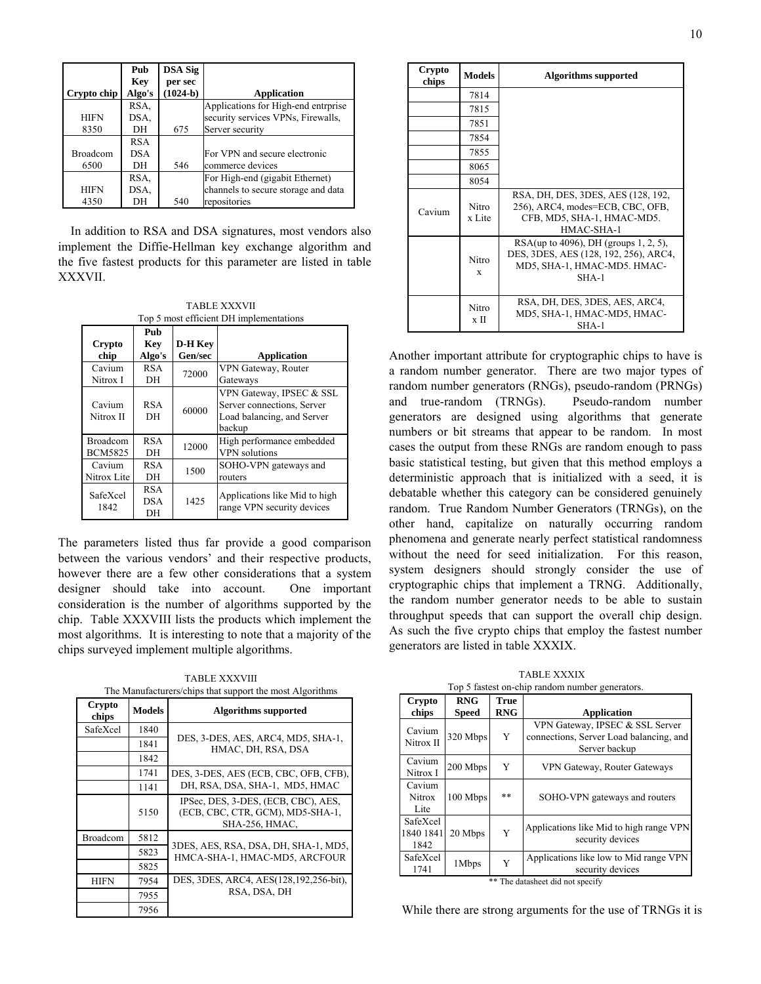|                 | Pub        | <b>DSA Sig</b> |                                     |
|-----------------|------------|----------------|-------------------------------------|
|                 | Key        | per sec        |                                     |
| Crypto chip     | Algo's     | $(1024-b)$     | Application                         |
|                 | RSA.       |                | Applications for High-end entrprise |
| <b>HIFN</b>     | DSA.       |                | security services VPNs, Firewalls,  |
| 8350            | DH         | 675            | Server security                     |
|                 | <b>RSA</b> |                |                                     |
| <b>Broadcom</b> | DSA        |                | For VPN and secure electronic       |
| 6500            | DH         | 546            | commerce devices                    |
|                 | RSA.       |                | For High-end (gigabit Ethernet)     |
| <b>HIFN</b>     | DSA.       |                | channels to secure storage and data |
| 4350            | DН         | 540            | repositories                        |

In addition to RSA and DSA signatures, most vendors also implement the Diffie-Hellman key exchange algorithm and the five fastest products for this parameter are listed in table XXXVII.

TABLE XXXVII Top 5 most efficient DH implementations

| Crypto                            | Pub<br>Key                     | D-H Kev |                                                                                                |
|-----------------------------------|--------------------------------|---------|------------------------------------------------------------------------------------------------|
| chip                              | Algo's                         | Gen/sec | Application                                                                                    |
| Cavium<br>Nitrox I                | <b>RSA</b><br>DH               | 72000   | VPN Gateway, Router<br>Gateways                                                                |
| Cavium<br>Nitrox II               | <b>RSA</b><br>DН               | 60000   | VPN Gateway, IPSEC & SSL<br>Server connections, Server<br>Load balancing, and Server<br>backup |
| <b>Broadcom</b><br><b>BCM5825</b> | <b>RSA</b><br>DH               | 12000   | High performance embedded<br><b>VPN</b> solutions                                              |
| Cavium<br>Nitrox Lite             | <b>RSA</b><br>DH               | 1500    | SOHO-VPN gateways and<br>routers                                                               |
| SafeXcel<br>1842                  | <b>RSA</b><br><b>DSA</b><br>DH | 1425    | Applications like Mid to high<br>range VPN security devices                                    |

The parameters listed thus far provide a good comparison between the various vendors' and their respective products, however there are a few other considerations that a system designer should take into account. One important consideration is the number of algorithms supported by the chip. Table XXXVIII lists the products which implement the most algorithms. It is interesting to note that a majority of the chips surveyed implement multiple algorithms.

TABLE XXXVIII The Manufacturers/chips that support the most Algorithms

| Crypto<br>chips | <b>Models</b> | <b>Algorithms</b> supported                                                                      |
|-----------------|---------------|--------------------------------------------------------------------------------------------------|
| SafeXcel        | 1840          |                                                                                                  |
|                 | 1841          | DES, 3-DES, AES, ARC4, MD5, SHA-1,<br>HMAC, DH, RSA, DSA                                         |
|                 | 1842          |                                                                                                  |
|                 | 1741          | DES, 3-DES, AES (ECB, CBC, OFB, CFB),                                                            |
|                 | 1141          | DH, RSA, DSA, SHA-1, MD5, HMAC                                                                   |
|                 | 5150          | IPSec, DES, 3-DES, (ECB, CBC), AES,<br>(ECB, CBC, CTR, GCM), MD5-SHA-1,<br><b>SHA-256, HMAC,</b> |
| <b>Broadcom</b> | 5812          |                                                                                                  |
|                 | 5823          | 3DES, AES, RSA, DSA, DH, SHA-1, MD5,<br>HMCA-SHA-1, HMAC-MD5, ARCFOUR                            |
|                 | 5825          |                                                                                                  |
| <b>HIFN</b>     | 7954          | DES, 3DES, ARC4, AES(128,192,256-bit),                                                           |
|                 | 7955          | RSA, DSA, DH                                                                                     |
|                 | 7956          |                                                                                                  |

| Crypto<br>chips | <b>Models</b>          | <b>Algorithms supported</b>                                                                                                 |
|-----------------|------------------------|-----------------------------------------------------------------------------------------------------------------------------|
|                 | 7814                   |                                                                                                                             |
|                 | 7815                   |                                                                                                                             |
|                 | 7851                   |                                                                                                                             |
|                 | 7854                   |                                                                                                                             |
|                 | 7855                   |                                                                                                                             |
|                 | 8065                   |                                                                                                                             |
|                 | 8054                   |                                                                                                                             |
| Cavium          | <b>Nitro</b><br>x Lite | RSA, DH, DES, 3DES, AES (128, 192,<br>256), ARC4, modes=ECB, CBC, OFB,<br>CFB, MD5, SHA-1, HMAC-MD5.<br>HMAC-SHA-1          |
|                 | Nitro<br>X             | RSA(up to 4096), DH (groups $1, 2, 5$ ),<br>DES, 3DES, AES (128, 192, 256), ARC4,<br>MD5, SHA-1, HMAC-MD5. HMAC-<br>$SHA-1$ |
|                 | Nitro<br>x II          | RSA, DH, DES, 3DES, AES, ARC4,<br>MD5, SHA-1, HMAC-MD5, HMAC-<br>$SHA-1$                                                    |

Another important attribute for cryptographic chips to have is a random number generator. There are two major types of random number generators (RNGs), pseudo-random (PRNGs) and true-random (TRNGs). Pseudo-random number generators are designed using algorithms that generate numbers or bit streams that appear to be random. In most cases the output from these RNGs are random enough to pass basic statistical testing, but given that this method employs a deterministic approach that is initialized with a seed, it is debatable whether this category can be considered genuinely random. True Random Number Generators (TRNGs), on the other hand, capitalize on naturally occurring random phenomena and generate nearly perfect statistical randomness without the need for seed initialization. For this reason, system designers should strongly consider the use of cryptographic chips that implement a TRNG. Additionally, the random number generator needs to be able to sustain throughput speeds that can support the overall chip design. As such the five crypto chips that employ the fastest number generators are listed in table XXXIX.

TABLE XXXIX Top 5 fastest on-chip random number generators.

| Crypto<br>chips                 | <b>RNG</b><br>Speed | <b>True</b><br><b>RNG</b> | <b>Application</b>                                                                          |
|---------------------------------|---------------------|---------------------------|---------------------------------------------------------------------------------------------|
| Cavium<br>Nitrox II             | 320 Mbps            | Y                         | VPN Gateway, IPSEC & SSL Server<br>connections, Server Load balancing, and<br>Server backup |
| Cavium<br>Nitrox I              | 200 Mbps            | Y                         | VPN Gateway, Router Gateways                                                                |
| Cavium<br><b>Nitrox</b><br>Lite | 100 Mbps            | **                        | SOHO-VPN gateways and routers                                                               |
| SafeXcel<br>1840 1841<br>1842   | 20 Mbps             | Y                         | Applications like Mid to high range VPN<br>security devices                                 |
| SafeXcel<br>1741                | 1Mbps               | Y<br>de de 1973.          | Applications like low to Mid range VPN<br>security devices                                  |

\*\* The datasheet did not specify

While there are strong arguments for the use of TRNGs it is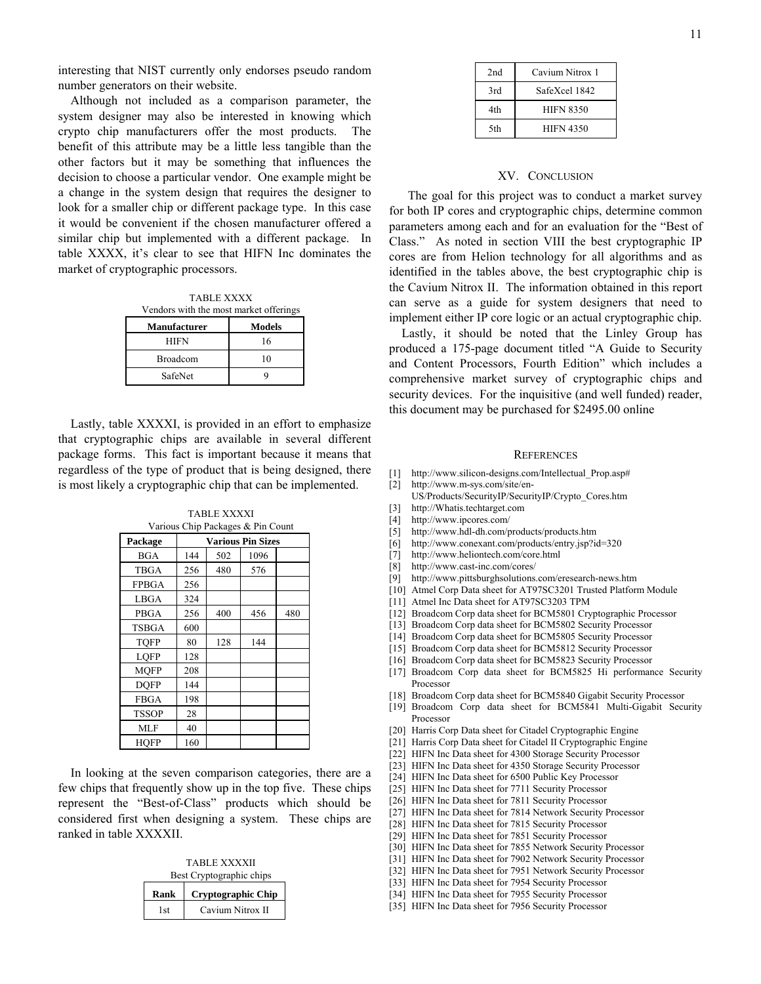interesting that NIST currently only endorses pseudo random number generators on their website.

Although not included as a comparison parameter, the system designer may also be interested in knowing which crypto chip manufacturers offer the most products. The benefit of this attribute may be a little less tangible than the other factors but it may be something that influences the decision to choose a particular vendor. One example might be a change in the system design that requires the designer to look for a smaller chip or different package type. In this case it would be convenient if the chosen manufacturer offered a similar chip but implemented with a different package. In table XXXX, it's clear to see that HIFN Inc dominates the market of cryptographic processors.

TABLE XXXX Vendors with the most market offerings **Manufacturer** | **Models** HIFN 16 Broadcom 10 SafeNet 9

Lastly, table XXXXI, is provided in an effort to emphasize that cryptographic chips are available in several different package forms. This fact is important because it means that regardless of the type of product that is being designed, there is most likely a cryptographic chip that can be implemented.

TABLE XXXXI<br>Climatic and C  $C$ kin  $\mathbf{p}_{\text{calc}}$ 

| various Unip Packages & Pin Count |                          |     |      |     |
|-----------------------------------|--------------------------|-----|------|-----|
| Package                           | <b>Various Pin Sizes</b> |     |      |     |
| <b>BGA</b>                        | 144                      | 502 | 1096 |     |
| <b>TBGA</b>                       | 256                      | 480 | 576  |     |
| <b>FPBGA</b>                      | 256                      |     |      |     |
| LBGA                              | 324                      |     |      |     |
| PBGA                              | 256                      | 400 | 456  | 480 |
| <b>TSBGA</b>                      | 600                      |     |      |     |
| <b>TOFP</b>                       | 80                       | 128 | 144  |     |
| <b>LOFP</b>                       | 128                      |     |      |     |
| <b>MOFP</b>                       | 208                      |     |      |     |
| <b>DOFP</b>                       | 144                      |     |      |     |
| <b>FBGA</b>                       | 198                      |     |      |     |
| <b>TSSOP</b>                      | 28                       |     |      |     |
| <b>MLF</b>                        | 40                       |     |      |     |
| <b>HOFP</b>                       | 160                      |     |      |     |

In looking at the seven comparison categories, there are a few chips that frequently show up in the top five. These chips represent the "Best-of-Class" products which should be considered first when designing a system. These chips are ranked in table XXXXII.

TABLE XXXXII Best Cryptographic chips

| Rank | Cryptographic Chip |
|------|--------------------|
| 1st  | Cavium Nitrox II   |

| 2nd | Cavium Nitrox 1  |  |  |
|-----|------------------|--|--|
| 3rd | SafeXcel 1842    |  |  |
| 4th | <b>HIFN 8350</b> |  |  |
| 5th | <b>HIFN 4350</b> |  |  |

## XV. CONCLUSION

 The goal for this project was to conduct a market survey for both IP cores and cryptographic chips, determine common parameters among each and for an evaluation for the "Best of Class." As noted in section VIII the best cryptographic IP cores are from Helion technology for all algorithms and as identified in the tables above, the best cryptographic chip is the Cavium Nitrox II. The information obtained in this report can serve as a guide for system designers that need to implement either IP core logic or an actual cryptographic chip.

Lastly, it should be noted that the Linley Group has produced a 175-page document titled "A Guide to Security and Content Processors, Fourth Edition" which includes a comprehensive market survey of cryptographic chips and security devices. For the inquisitive (and well funded) reader, this document may be purchased for \$2495.00 online

#### **REFERENCES**

- [1] [http://www.silicon-designs.com/Intellectual\\_Prop.asp#](http://www.silicon-designs.com/Intellectual_Prop.asp)
- [2] [http://www.m-sys.com/site/en-](http://www.m-sys.com/site/en-US/Products/SecurityIP/SecurityIP/Crypto_Cores.htm)[US/Products/SecurityIP/SecurityIP/Crypto\\_Cores.htm](http://www.m-sys.com/site/en-US/Products/SecurityIP/SecurityIP/Crypto_Cores.htm)
- [3] [http://Whatis.techtarget.com](http://whatis.techtarget.com/)
- [4] <http://www.ipcores.com/>
- [5] <http://www.hdl-dh.com/products/products.htm>
- [6] <http://www.conexant.com/products/entry.jsp?id=320>
- [7] <http://www.heliontech.com/core.html>
- [8] <http://www.cast-inc.com/cores/>
- [9] <http://www.pittsburghsolutions.com/eresearch-news.htm>
- [10] Atmel Corp Data sheet for AT97SC3201 Trusted Platform Module
- [11] Atmel Inc Data sheet for AT97SC3203 TPM
- [12] Broadcom Corp data sheet for BCM5801 Cryptographic Processor
- [13] Broadcom Corp data sheet for BCM5802 Security Processor
- [14] Broadcom Corp data sheet for BCM5805 Security Processor
- [15] Broadcom Corp data sheet for BCM5812 Security Processor
- [16] Broadcom Corp data sheet for BCM5823 Security Processor
- [17] Broadcom Corp data sheet for BCM5825 Hi performance Security Processor
- [18] Broadcom Corp data sheet for BCM5840 Gigabit Security Processor
- [19] Broadcom Corp data sheet for BCM5841 Multi-Gigabit Security Processor
- [20] Harris Corp Data sheet for Citadel Cryptographic Engine
- [21] Harris Corp Data sheet for Citadel II Cryptographic Engine
- [22] HIFN Inc Data sheet for 4300 Storage Security Processor
- [23] HIFN Inc Data sheet for 4350 Storage Security Processor
- [24] HIFN Inc Data sheet for 6500 Public Key Processor
- [25] HIFN Inc Data sheet for 7711 Security Processor
- [26] HIFN Inc Data sheet for 7811 Security Processor
- [27] HIFN Inc Data sheet for 7814 Network Security Processor
- [28] HIFN Inc Data sheet for 7815 Security Processor
- [29] HIFN Inc Data sheet for 7851 Security Processor
- [30] HIFN Inc Data sheet for 7855 Network Security Processor
- [31] HIFN Inc Data sheet for 7902 Network Security Processor
- [32] HIFN Inc Data sheet for 7951 Network Security Processor
- [33] HIFN Inc Data sheet for 7954 Security Processor
- [34] HIFN Inc Data sheet for 7955 Security Processor
- [35] HIFN Inc Data sheet for 7956 Security Processor